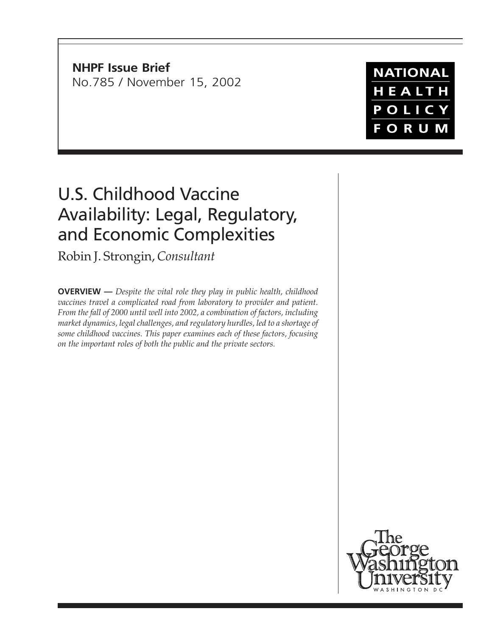**NHPF Issue Brief** No.785 / November 15, 2002

# U.S. Childhood Vaccine Availability: Legal, Regulatory, and Economic Complexities

Robin J. Strongin, *Consultant*

**OVERVIEW —** *Despite the vital role they play in public health, childhood vaccines travel a complicated road from laboratory to provider and patient. From the fall of 2000 until well into 2002, a combination of factors, including market dynamics, legal challenges, and regulatory hurdles, led to a shortage of some childhood vaccines. This paper examines each of these factors, focusing on the important roles of both the public and the private sectors.*

**NATIONAL** HEALTH POLICY **FORUM** 

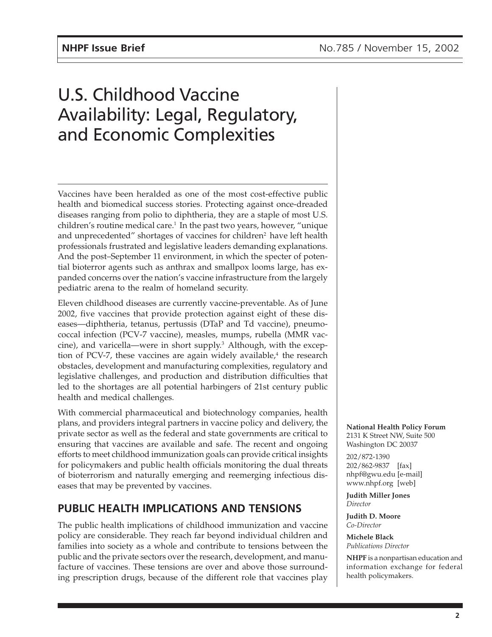## U.S. Childhood Vaccine Availability: Legal, Regulatory, and Economic Complexities

Vaccines have been heralded as one of the most cost-effective public health and biomedical success stories. Protecting against once-dreaded diseases ranging from polio to diphtheria, they are a staple of most U.S. children's routine medical care.<sup>1</sup> In the past two years, however, "unique and unprecedented" shortages of vaccines for children<sup>2</sup> have left health professionals frustrated and legislative leaders demanding explanations. And the post–September 11 environment, in which the specter of potential bioterror agents such as anthrax and smallpox looms large, has expanded concerns over the nation's vaccine infrastructure from the largely pediatric arena to the realm of homeland security.

Eleven childhood diseases are currently vaccine-preventable. As of June 2002, five vaccines that provide protection against eight of these diseases—diphtheria, tetanus, pertussis (DTaP and Td vaccine), pneumococcal infection (PCV-7 vaccine), measles, mumps, rubella (MMR vaccine), and varicella—were in short supply.<sup>3</sup> Although, with the exception of PCV-7, these vaccines are again widely available, $4$  the research obstacles, development and manufacturing complexities, regulatory and legislative challenges, and production and distribution difficulties that led to the shortages are all potential harbingers of 21st century public health and medical challenges.

With commercial pharmaceutical and biotechnology companies, health plans, and providers integral partners in vaccine policy and delivery, the private sector as well as the federal and state governments are critical to ensuring that vaccines are available and safe. The recent and ongoing efforts to meet childhood immunization goals can provide critical insights for policymakers and public health officials monitoring the dual threats of bioterrorism and naturally emerging and reemerging infectious diseases that may be prevented by vaccines.

### **PUBLIC HEALTH IMPLICATIONS AND TENSIONS**

The public health implications of childhood immunization and vaccine policy are considerable. They reach far beyond individual children and families into society as a whole and contribute to tensions between the public and the private sectors over the research, development, and manufacture of vaccines. These tensions are over and above those surrounding prescription drugs, because of the different role that vaccines play **National Health Policy Forum** 2131 K Street NW, Suite 500 Washington DC 20037

202/872-1390 202/862-9837 [fax] nhpf@gwu.edu [e-mail] www.nhpf.org [web]

**Judith Miller Jones** *Director*

**Judith D. Moore** *Co-Director*

**Michele Black** *Publications Director*

**NHPF** is a nonpartisan education and information exchange for federal health policymakers.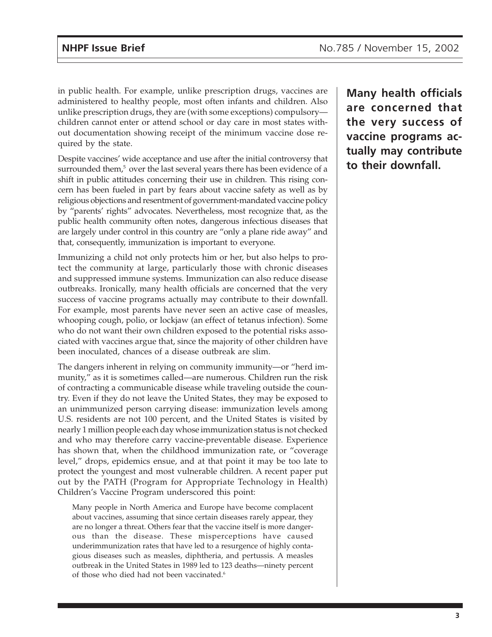in public health. For example, unlike prescription drugs, vaccines are administered to healthy people, most often infants and children. Also unlike prescription drugs, they are (with some exceptions) compulsory children cannot enter or attend school or day care in most states without documentation showing receipt of the minimum vaccine dose required by the state.

Despite vaccines' wide acceptance and use after the initial controversy that surrounded them,<sup>5</sup> over the last several years there has been evidence of a shift in public attitudes concerning their use in children. This rising concern has been fueled in part by fears about vaccine safety as well as by religious objections and resentment of government-mandated vaccine policy by "parents' rights" advocates. Nevertheless, most recognize that, as the public health community often notes, dangerous infectious diseases that are largely under control in this country are "only a plane ride away" and that, consequently, immunization is important to everyone.

Immunizing a child not only protects him or her, but also helps to protect the community at large, particularly those with chronic diseases and suppressed immune systems. Immunization can also reduce disease outbreaks. Ironically, many health officials are concerned that the very success of vaccine programs actually may contribute to their downfall. For example, most parents have never seen an active case of measles, whooping cough, polio, or lockjaw (an effect of tetanus infection). Some who do not want their own children exposed to the potential risks associated with vaccines argue that, since the majority of other children have been inoculated, chances of a disease outbreak are slim.

The dangers inherent in relying on community immunity—or "herd immunity," as it is sometimes called—are numerous. Children run the risk of contracting a communicable disease while traveling outside the country. Even if they do not leave the United States, they may be exposed to an unimmunized person carrying disease: immunization levels among U.S. residents are not 100 percent, and the United States is visited by nearly 1 million people each day whose immunization status is not checked and who may therefore carry vaccine-preventable disease. Experience has shown that, when the childhood immunization rate, or "coverage level," drops, epidemics ensue, and at that point it may be too late to protect the youngest and most vulnerable children. A recent paper put out by the PATH (Program for Appropriate Technology in Health) Children's Vaccine Program underscored this point:

Many people in North America and Europe have become complacent about vaccines, assuming that since certain diseases rarely appear, they are no longer a threat. Others fear that the vaccine itself is more dangerous than the disease. These misperceptions have caused underimmunization rates that have led to a resurgence of highly contagious diseases such as measles, diphtheria, and pertussis. A measles outbreak in the United States in 1989 led to 123 deaths—ninety percent of those who died had not been vaccinated.<sup>6</sup>

**Many health officials are concerned that the very success of vaccine programs actually may contribute to their downfall.**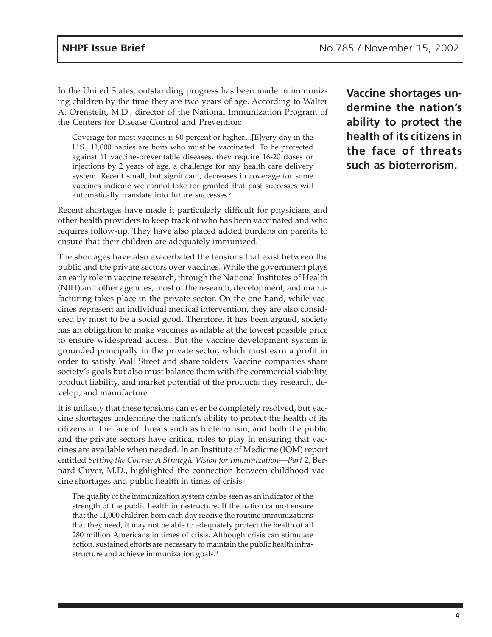In the United States, outstanding progress has been made in immunizing children by the time they are two years of age. According to Walter A. Orenstein, M.D., director of the National Immunization Program of the Centers for Disease Control and Prevention:

Coverage for most vaccines is 90 percent or higher....[E]very day in the U.S., 11,000 babies are born who must be vaccinated. To be protected against 11 vaccine-preventable diseases, they require 16-20 doses or injections by 2 years of age, a challenge for any health care delivery system. Recent small, but significant, decreases in coverage for some vaccines indicate we cannot take for granted that past successes will automatically translate into future successes.7

Recent shortages have made it particularly difficult for physicians and other health providers to keep track of who has been vaccinated and who requires follow-up. They have also placed added burdens on parents to ensure that their children are adequately immunized.

The shortages have also exacerbated the tensions that exist between the public and the private sectors over vaccines. While the government plays an early role in vaccine research, through the National Institutes of Health (NIH) and other agencies, most of the research, development, and manufacturing takes place in the private sector. On the one hand, while vaccines represent an individual medical intervention, they are also considered by most to be a social good. Therefore, it has been argued, society has an obligation to make vaccines available at the lowest possible price to ensure widespread access. But the vaccine development system is grounded principally in the private sector, which must earn a profit in order to satisfy Wall Street and shareholders. Vaccine companies share society's goals but also must balance them with the commercial viability, product liability, and market potential of the products they research, develop, and manufacture.

It is unlikely that these tensions can ever be completely resolved, but vaccine shortages undermine the nation's ability to protect the health of its citizens in the face of threats such as bioterrorism, and both the public and the private sectors have critical roles to play in ensuring that vaccines are available when needed. In an Institute of Medicine (IOM) report entitled *Setting the Course: A Strategic Vision for Immunization—Part 2,* Bernard Guyer, M.D., highlighted the connection between childhood vaccine shortages and public health in times of crisis:

The quality of the immunization system can be seen as an indicator of the strength of the public health infrastructure. If the nation cannot ensure that the 11,000 children born each day receive the routine immunizations that they need, it may not be able to adequately protect the health of all 280 million Americans in times of crisis. Although crisis can stimulate action, sustained efforts are necessary to maintain the public health infrastructure and achieve immunization goals.<sup>8</sup>

**Vaccine shortages undermine the nation's ability to protect the health of its citizens in the face of threats such as bioterrorism.**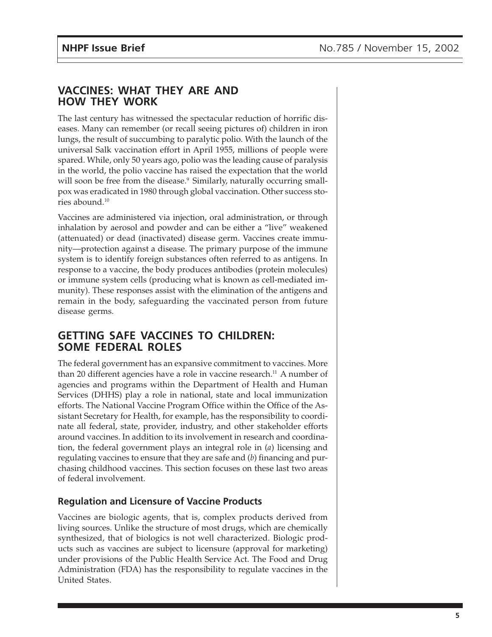#### **VACCINES: WHAT THEY ARE AND HOW THEY WORK**

The last century has witnessed the spectacular reduction of horrific diseases. Many can remember (or recall seeing pictures of) children in iron lungs, the result of succumbing to paralytic polio. With the launch of the universal Salk vaccination effort in April 1955, millions of people were spared. While, only 50 years ago, polio was the leading cause of paralysis in the world, the polio vaccine has raised the expectation that the world will soon be free from the disease.<sup>9</sup> Similarly, naturally occurring smallpox was eradicated in 1980 through global vaccination. Other success stories abound.10

Vaccines are administered via injection, oral administration, or through inhalation by aerosol and powder and can be either a "live" weakened (attenuated) or dead (inactivated) disease germ. Vaccines create immunity—protection against a disease. The primary purpose of the immune system is to identify foreign substances often referred to as antigens. In response to a vaccine, the body produces antibodies (protein molecules) or immune system cells (producing what is known as cell-mediated immunity). These responses assist with the elimination of the antigens and remain in the body, safeguarding the vaccinated person from future disease germs.

#### **GETTING SAFE VACCINES TO CHILDREN: SOME FEDERAL ROLES**

The federal government has an expansive commitment to vaccines. More than 20 different agencies have a role in vaccine research.<sup>11</sup> A number of agencies and programs within the Department of Health and Human Services (DHHS) play a role in national, state and local immunization efforts. The National Vaccine Program Office within the Office of the Assistant Secretary for Health, for example, has the responsibility to coordinate all federal, state, provider, industry, and other stakeholder efforts around vaccines. In addition to its involvement in research and coordination, the federal government plays an integral role in (*a*) licensing and regulating vaccines to ensure that they are safe and (*b*) financing and purchasing childhood vaccines. This section focuses on these last two areas of federal involvement.

#### **Regulation and Licensure of Vaccine Products**

Vaccines are biologic agents, that is, complex products derived from living sources. Unlike the structure of most drugs, which are chemically synthesized, that of biologics is not well characterized. Biologic products such as vaccines are subject to licensure (approval for marketing) under provisions of the Public Health Service Act. The Food and Drug Administration (FDA) has the responsibility to regulate vaccines in the United States.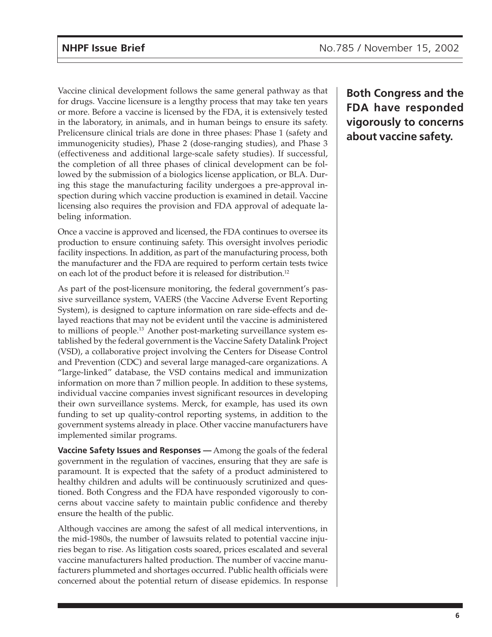Vaccine clinical development follows the same general pathway as that for drugs. Vaccine licensure is a lengthy process that may take ten years or more. Before a vaccine is licensed by the FDA, it is extensively tested in the laboratory, in animals, and in human beings to ensure its safety. Prelicensure clinical trials are done in three phases: Phase 1 (safety and immunogenicity studies), Phase 2 (dose-ranging studies), and Phase 3 (effectiveness and additional large-scale safety studies). If successful, the completion of all three phases of clinical development can be followed by the submission of a biologics license application, or BLA. During this stage the manufacturing facility undergoes a pre-approval inspection during which vaccine production is examined in detail. Vaccine licensing also requires the provision and FDA approval of adequate labeling information.

Once a vaccine is approved and licensed, the FDA continues to oversee its production to ensure continuing safety. This oversight involves periodic facility inspections. In addition, as part of the manufacturing process, both the manufacturer and the FDA are required to perform certain tests twice on each lot of the product before it is released for distribution.12

As part of the post-licensure monitoring, the federal government's passive surveillance system, VAERS (the Vaccine Adverse Event Reporting System), is designed to capture information on rare side-effects and delayed reactions that may not be evident until the vaccine is administered to millions of people.<sup>13</sup> Another post-marketing surveillance system established by the federal government is the Vaccine Safety Datalink Project (VSD), a collaborative project involving the Centers for Disease Control and Prevention (CDC) and several large managed-care organizations. A "large-linked" database, the VSD contains medical and immunization information on more than 7 million people. In addition to these systems, individual vaccine companies invest significant resources in developing their own surveillance systems. Merck, for example, has used its own funding to set up quality-control reporting systems, in addition to the government systems already in place. Other vaccine manufacturers have implemented similar programs.

**Vaccine Safety Issues and Responses —** Among the goals of the federal government in the regulation of vaccines, ensuring that they are safe is paramount. It is expected that the safety of a product administered to healthy children and adults will be continuously scrutinized and questioned. Both Congress and the FDA have responded vigorously to concerns about vaccine safety to maintain public confidence and thereby ensure the health of the public.

Although vaccines are among the safest of all medical interventions, in the mid-1980s, the number of lawsuits related to potential vaccine injuries began to rise. As litigation costs soared, prices escalated and several vaccine manufacturers halted production. The number of vaccine manufacturers plummeted and shortages occurred. Public health officials were concerned about the potential return of disease epidemics. In response

**Both Congress and the FDA have responded vigorously to concerns about vaccine safety.**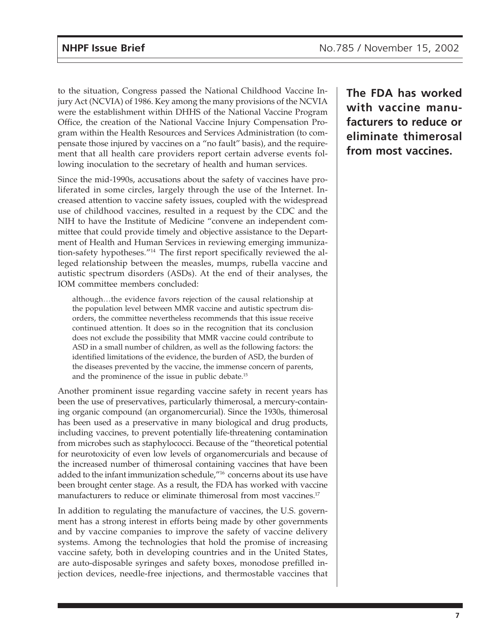to the situation, Congress passed the National Childhood Vaccine Injury Act (NCVIA) of 1986. Key among the many provisions of the NCVIA were the establishment within DHHS of the National Vaccine Program Office, the creation of the National Vaccine Injury Compensation Program within the Health Resources and Services Administration (to compensate those injured by vaccines on a "no fault" basis), and the requirement that all health care providers report certain adverse events following inoculation to the secretary of health and human services.

Since the mid-1990s, accusations about the safety of vaccines have proliferated in some circles, largely through the use of the Internet. Increased attention to vaccine safety issues, coupled with the widespread use of childhood vaccines, resulted in a request by the CDC and the NIH to have the Institute of Medicine "convene an independent committee that could provide timely and objective assistance to the Department of Health and Human Services in reviewing emerging immunization-safety hypotheses."14 The first report specifically reviewed the alleged relationship between the measles, mumps, rubella vaccine and autistic spectrum disorders (ASDs). At the end of their analyses, the IOM committee members concluded:

although…the evidence favors rejection of the causal relationship at the population level between MMR vaccine and autistic spectrum disorders, the committee nevertheless recommends that this issue receive continued attention. It does so in the recognition that its conclusion does not exclude the possibility that MMR vaccine could contribute to ASD in a small number of children, as well as the following factors: the identified limitations of the evidence, the burden of ASD, the burden of the diseases prevented by the vaccine, the immense concern of parents, and the prominence of the issue in public debate.15

Another prominent issue regarding vaccine safety in recent years has been the use of preservatives, particularly thimerosal, a mercury-containing organic compound (an organomercurial). Since the 1930s, thimerosal has been used as a preservative in many biological and drug products, including vaccines, to prevent potentially life-threatening contamination from microbes such as staphylococci. Because of the "theoretical potential for neurotoxicity of even low levels of organomercurials and because of the increased number of thimerosal containing vaccines that have been added to the infant immunization schedule,"16 concerns about its use have been brought center stage. As a result, the FDA has worked with vaccine manufacturers to reduce or eliminate thimerosal from most vaccines.<sup>17</sup>

In addition to regulating the manufacture of vaccines, the U.S. government has a strong interest in efforts being made by other governments and by vaccine companies to improve the safety of vaccine delivery systems. Among the technologies that hold the promise of increasing vaccine safety, both in developing countries and in the United States, are auto-disposable syringes and safety boxes, monodose prefilled injection devices, needle-free injections, and thermostable vaccines that **The FDA has worked with vaccine manufacturers to reduce or eliminate thimerosal from most vaccines.**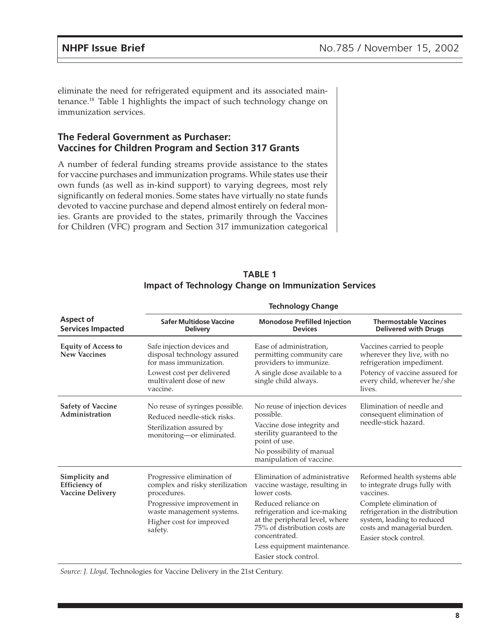eliminate the need for refrigerated equipment and its associated maintenance.18 Table 1 highlights the impact of such technology change on immunization services.

#### **The Federal Government as Purchaser: Vaccines for Children Program and Section 317 Grants**

A number of federal funding streams provide assistance to the states for vaccine purchases and immunization programs. While states use their own funds (as well as in-kind support) to varying degrees, most rely significantly on federal monies. Some states have virtually no state funds devoted to vaccine purchase and depend almost entirely on federal monies. Grants are provided to the states, primarily through the Vaccines for Children (VFC) program and Section 317 immunization categorical

| <b>TABLE 1</b>                                              |  |  |  |  |  |  |
|-------------------------------------------------------------|--|--|--|--|--|--|
| <b>Impact of Technology Change on Immunization Services</b> |  |  |  |  |  |  |

| Aspect of<br><b>Services Impacted</b>                             | Safer Multidose Vaccine<br><b>Delivery</b>                                                                                                                                     | <b>Monodose Prefilled Injection</b><br><b>Devices</b>                                                                                                                                                                                                                             | <b>Thermostable Vaccines</b><br><b>Delivered with Drugs</b>                                                                                                                                                                       |  |  |  |  |
|-------------------------------------------------------------------|--------------------------------------------------------------------------------------------------------------------------------------------------------------------------------|-----------------------------------------------------------------------------------------------------------------------------------------------------------------------------------------------------------------------------------------------------------------------------------|-----------------------------------------------------------------------------------------------------------------------------------------------------------------------------------------------------------------------------------|--|--|--|--|
| <b>Equity of Access to</b><br><b>New Vaccines</b>                 | Safe injection devices and<br>disposal technology assured<br>for mass immunization.<br>Lowest cost per delivered<br>multivalent dose of new<br>vaccine.                        | Ease of administration,<br>permitting community care<br>providers to immunize.<br>A single dose available to a<br>single child always.                                                                                                                                            | Vaccines carried to people<br>wherever they live, with no<br>refrigeration impediment.<br>Potency of vaccine assured for<br>every child, wherever he/she<br>lives.                                                                |  |  |  |  |
| <b>Safety of Vaccine</b><br>Administration                        | No reuse of syringes possible.<br>Reduced needle-stick risks.<br>Sterilization assured by<br>monitoring-or eliminated.                                                         | No reuse of injection devices<br>possible.<br>Vaccine dose integrity and<br>sterility guaranteed to the<br>point of use.<br>No possibility of manual<br>manipulation of vaccine.                                                                                                  | Elimination of needle and<br>consequent elimination of<br>needle-stick hazard.                                                                                                                                                    |  |  |  |  |
| Simplicity and<br><b>Efficiency</b> of<br><b>Vaccine Delivery</b> | Progressive elimination of<br>complex and risky sterilization<br>procedures.<br>Progressive improvement in<br>waste management systems.<br>Higher cost for improved<br>safety. | Elimination of administrative<br>vaccine wastage, resulting in<br>lower costs.<br>Reduced reliance on<br>refrigeration and ice-making<br>at the peripheral level, where<br>75% of distribution costs are<br>concentrated.<br>Less equipment maintenance.<br>Easier stock control. | Reformed health systems able<br>to integrate drugs fully with<br>vaccines.<br>Complete elimination of<br>refrigeration in the distribution<br>system, leading to reduced<br>costs and managerial burden.<br>Easier stock control. |  |  |  |  |

#### **Technology Change**

*Source: J. Lloyd,* Technologies for Vaccine Delivery in the 21st Century.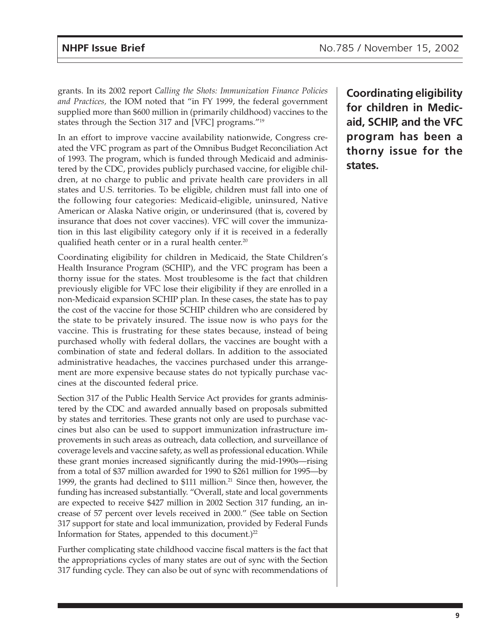grants. In its 2002 report *Calling the Shots: Immunization Finance Policies and Practices,* the IOM noted that "in FY 1999, the federal government supplied more than \$600 million in (primarily childhood) vaccines to the states through the Section 317 and [VFC] programs."19

In an effort to improve vaccine availability nationwide, Congress created the VFC program as part of the Omnibus Budget Reconciliation Act of 1993. The program, which is funded through Medicaid and administered by the CDC, provides publicly purchased vaccine, for eligible children, at no charge to public and private health care providers in all states and U.S. territories. To be eligible, children must fall into one of the following four categories: Medicaid-eligible, uninsured, Native American or Alaska Native origin, or underinsured (that is, covered by insurance that does not cover vaccines). VFC will cover the immunization in this last eligibility category only if it is received in a federally qualified heath center or in a rural health center.<sup>20</sup>

Coordinating eligibility for children in Medicaid, the State Children's Health Insurance Program (SCHIP), and the VFC program has been a thorny issue for the states. Most troublesome is the fact that children previously eligible for VFC lose their eligibility if they are enrolled in a non-Medicaid expansion SCHIP plan. In these cases, the state has to pay the cost of the vaccine for those SCHIP children who are considered by the state to be privately insured. The issue now is who pays for the vaccine. This is frustrating for these states because, instead of being purchased wholly with federal dollars, the vaccines are bought with a combination of state and federal dollars. In addition to the associated administrative headaches, the vaccines purchased under this arrangement are more expensive because states do not typically purchase vaccines at the discounted federal price.

Section 317 of the Public Health Service Act provides for grants administered by the CDC and awarded annually based on proposals submitted by states and territories. These grants not only are used to purchase vaccines but also can be used to support immunization infrastructure improvements in such areas as outreach, data collection, and surveillance of coverage levels and vaccine safety, as well as professional education. While these grant monies increased significantly during the mid-1990s—rising from a total of \$37 million awarded for 1990 to \$261 million for 1995—by 1999, the grants had declined to \$111 million.<sup>21</sup> Since then, however, the funding has increased substantially. "Overall, state and local governments are expected to receive \$427 million in 2002 Section 317 funding, an increase of 57 percent over levels received in 2000." (See table on Section 317 support for state and local immunization, provided by Federal Funds Information for States, appended to this document.) 22

Further complicating state childhood vaccine fiscal matters is the fact that the appropriations cycles of many states are out of sync with the Section 317 funding cycle. They can also be out of sync with recommendations of

**Coordinating eligibility for children in Medicaid, SCHIP, and the VFC program has been a thorny issue for the states.**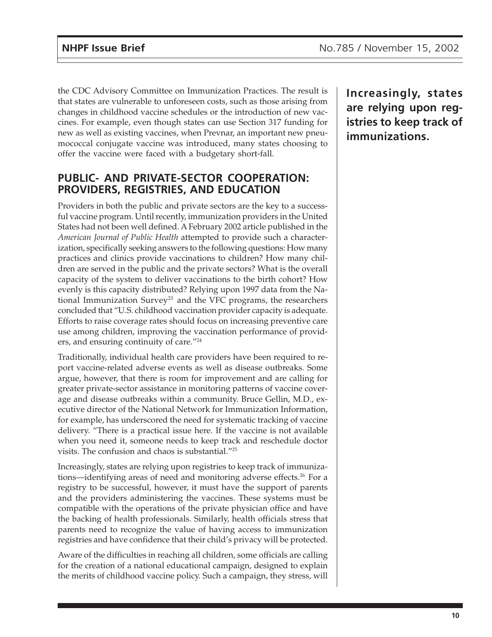the CDC Advisory Committee on Immunization Practices. The result is that states are vulnerable to unforeseen costs, such as those arising from changes in childhood vaccine schedules or the introduction of new vaccines. For example, even though states can use Section 317 funding for new as well as existing vaccines, when Prevnar, an important new pneumococcal conjugate vaccine was introduced, many states choosing to offer the vaccine were faced with a budgetary short-fall.

#### **PUBLIC- AND PRIVATE-SECTOR COOPERATION: PROVIDERS, REGISTRIES, AND EDUCATION**

Providers in both the public and private sectors are the key to a successful vaccine program. Until recently, immunization providers in the United States had not been well defined. A February 2002 article published in the *American Journal of Public Health* attempted to provide such a characterization, specifically seeking answers to the following questions: How many practices and clinics provide vaccinations to children? How many children are served in the public and the private sectors? What is the overall capacity of the system to deliver vaccinations to the birth cohort? How evenly is this capacity distributed? Relying upon 1997 data from the National Immunization Survey<sup>23</sup> and the VFC programs, the researchers concluded that "U.S. childhood vaccination provider capacity is adequate. Efforts to raise coverage rates should focus on increasing preventive care use among children, improving the vaccination performance of providers, and ensuring continuity of care."24

Traditionally, individual health care providers have been required to report vaccine-related adverse events as well as disease outbreaks. Some argue, however, that there is room for improvement and are calling for greater private-sector assistance in monitoring patterns of vaccine coverage and disease outbreaks within a community. Bruce Gellin, M.D., executive director of the National Network for Immunization Information, for example, has underscored the need for systematic tracking of vaccine delivery. "There is a practical issue here. If the vaccine is not available when you need it, someone needs to keep track and reschedule doctor visits. The confusion and chaos is substantial."25

Increasingly, states are relying upon registries to keep track of immunizations—identifying areas of need and monitoring adverse effects.<sup>26</sup> For a registry to be successful, however, it must have the support of parents and the providers administering the vaccines. These systems must be compatible with the operations of the private physician office and have the backing of health professionals. Similarly, health officials stress that parents need to recognize the value of having access to immunization registries and have confidence that their child's privacy will be protected.

Aware of the difficulties in reaching all children, some officials are calling for the creation of a national educational campaign, designed to explain the merits of childhood vaccine policy. Such a campaign, they stress, will **Increasingly, states are relying upon registries to keep track of immunizations.**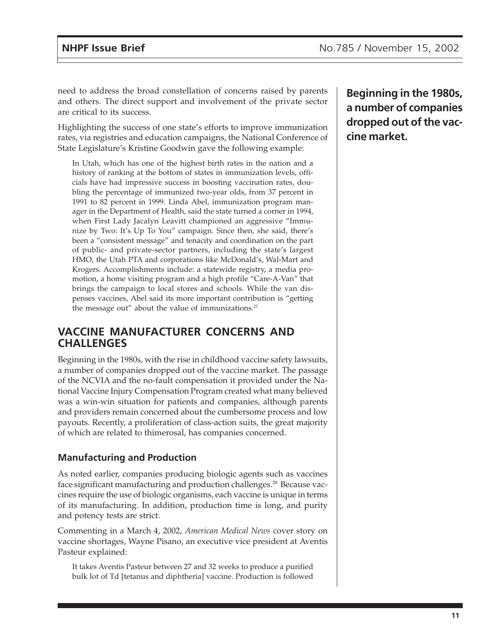need to address the broad constellation of concerns raised by parents and others. The direct support and involvement of the private sector are critical to its success.

Highlighting the success of one state's efforts to improve immunization rates, via registries and education campaigns, the National Conference of State Legislature's Kristine Goodwin gave the following example:

In Utah, which has one of the highest birth rates in the nation and a history of ranking at the bottom of states in immunization levels, officials have had impressive success in boosting vaccination rates, doubling the percentage of immunized two-year olds, from 37 percent in 1991 to 82 percent in 1999. Linda Abel, immunization program manager in the Department of Health, said the state turned a corner in 1994, when First Lady Jacalyn Leavitt championed an aggressive "Immunize by Two: It's Up To You" campaign. Since then, she said, there's been a "consistent message" and tenacity and coordination on the part of public- and private-sector partners, including the state's largest HMO, the Utah PTA and corporations like McDonald's, Wal-Mart and Krogers. Accomplishments include: a statewide registry, a media promotion, a home visiting program and a high profile "Care-A-Van" that brings the campaign to local stores and schools. While the van dispenses vaccines, Abel said its more important contribution is "getting the message out" about the value of immunizations.<sup>27</sup>

#### **VACCINE MANUFACTURER CONCERNS AND CHALLENGES**

Beginning in the 1980s, with the rise in childhood vaccine safety lawsuits, a number of companies dropped out of the vaccine market. The passage of the NCVIA and the no-fault compensation it provided under the National Vaccine Injury Compensation Program created what many believed was a win-win situation for patients and companies, although parents and providers remain concerned about the cumbersome process and low payouts. Recently, a proliferation of class-action suits, the great majority of which are related to thimerosal, has companies concerned.

#### **Manufacturing and Production**

As noted earlier, companies producing biologic agents such as vaccines face significant manufacturing and production challenges.28 Because vaccines require the use of biologic organisms, each vaccine is unique in terms of its manufacturing. In addition, production time is long, and purity and potency tests are strict.

Commenting in a March 4, 2002, *American Medical News* cover story on vaccine shortages, Wayne Pisano, an executive vice president at Aventis Pasteur explained:

It takes Aventis Pasteur between 27 and 32 weeks to produce a purified bulk lot of Td [tetanus and diphtheria] vaccine. Production is followed

**Beginning in the 1980s, a number of companies dropped out of the vaccine market.**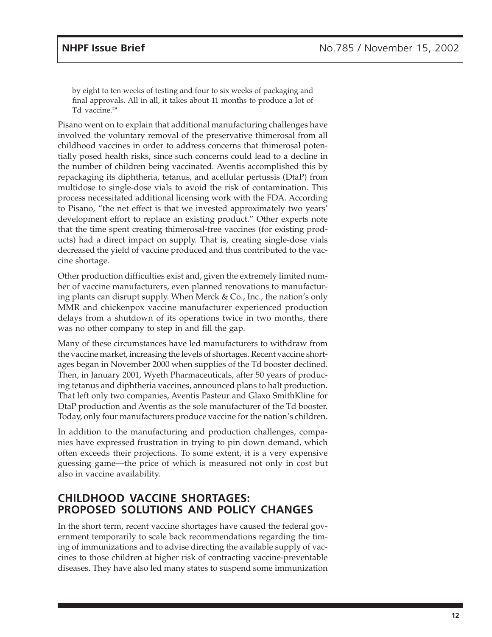by eight to ten weeks of testing and four to six weeks of packaging and final approvals. All in all, it takes about 11 months to produce a lot of Td vaccine.<sup>29</sup>

Pisano went on to explain that additional manufacturing challenges have involved the voluntary removal of the preservative thimerosal from all childhood vaccines in order to address concerns that thimerosal potentially posed health risks, since such concerns could lead to a decline in the number of children being vaccinated. Aventis accomplished this by repackaging its diphtheria, tetanus, and acellular pertussis (DtaP) from multidose to single-dose vials to avoid the risk of contamination. This process necessitated additional licensing work with the FDA. According to Pisano, "the net effect is that we invested approximately two years' development effort to replace an existing product." Other experts note that the time spent creating thimerosal-free vaccines (for existing products) had a direct impact on supply. That is, creating single-dose vials decreased the yield of vaccine produced and thus contributed to the vaccine shortage.

Other production difficulties exist and, given the extremely limited number of vaccine manufacturers, even planned renovations to manufacturing plants can disrupt supply. When Merck & Co., Inc., the nation's only MMR and chickenpox vaccine manufacturer experienced production delays from a shutdown of its operations twice in two months, there was no other company to step in and fill the gap.

Many of these circumstances have led manufacturers to withdraw from the vaccine market, increasing the levels of shortages. Recent vaccine shortages began in November 2000 when supplies of the Td booster declined. Then, in January 2001, Wyeth Pharmaceuticals, after 50 years of producing tetanus and diphtheria vaccines, announced plans to halt production. That left only two companies, Aventis Pasteur and Glaxo SmithKline for DtaP production and Aventis as the sole manufacturer of the Td booster. Today, only four manufacturers produce vaccine for the nation's children.

In addition to the manufacturing and production challenges, companies have expressed frustration in trying to pin down demand, which often exceeds their projections. To some extent, it is a very expensive guessing game—the price of which is measured not only in cost but also in vaccine availability.

#### **CHILDHOOD VACCINE SHORTAGES: PROPOSED SOLUTIONS AND POLICY CHANGES**

In the short term, recent vaccine shortages have caused the federal government temporarily to scale back recommendations regarding the timing of immunizations and to advise directing the available supply of vaccines to those children at higher risk of contracting vaccine-preventable diseases. They have also led many states to suspend some immunization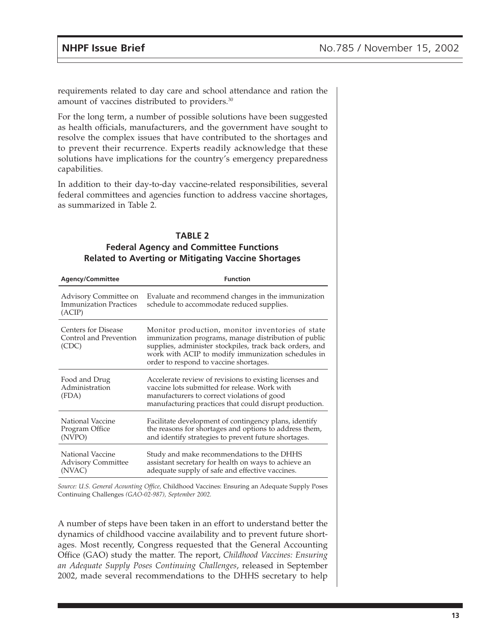requirements related to day care and school attendance and ration the amount of vaccines distributed to providers.<sup>30</sup>

For the long term, a number of possible solutions have been suggested as health officials, manufacturers, and the government have sought to resolve the complex issues that have contributed to the shortages and to prevent their recurrence. Experts readily acknowledge that these solutions have implications for the country's emergency preparedness capabilities.

In addition to their day-to-day vaccine-related responsibilities, several federal committees and agencies function to address vaccine shortages, as summarized in Table 2.

| <b>TABLE 2</b>                                             |
|------------------------------------------------------------|
| <b>Federal Agency and Committee Functions</b>              |
| <b>Related to Averting or Mitigating Vaccine Shortages</b> |

| <b>Agency/Committee</b>                                          | <b>Function</b>                                                                                                                                                                                                                                                     |  |  |  |
|------------------------------------------------------------------|---------------------------------------------------------------------------------------------------------------------------------------------------------------------------------------------------------------------------------------------------------------------|--|--|--|
| Advisory Committee on<br><b>Immunization Practices</b><br>(ACIP) | Evaluate and recommend changes in the immunization<br>schedule to accommodate reduced supplies.                                                                                                                                                                     |  |  |  |
| <b>Centers for Disease</b><br>Control and Prevention<br>(CDC)    | Monitor production, monitor inventories of state<br>immunization programs, manage distribution of public<br>supplies, administer stockpiles, track back orders, and<br>work with ACIP to modify immunization schedules in<br>order to respond to vaccine shortages. |  |  |  |
| Food and Drug<br>Administration<br>(FDA)                         | Accelerate review of revisions to existing licenses and<br>vaccine lots submitted for release. Work with<br>manufacturers to correct violations of good<br>manufacturing practices that could disrupt production.                                                   |  |  |  |
| National Vaccine<br>Program Office<br>(NVPO)                     | Facilitate development of contingency plans, identify<br>the reasons for shortages and options to address them,<br>and identify strategies to prevent future shortages.                                                                                             |  |  |  |
| National Vaccine<br><b>Advisory Committee</b><br>(NVAC)          | Study and make recommendations to the DHHS<br>assistant secretary for health on ways to achieve an<br>adequate supply of safe and effective vaccines.                                                                                                               |  |  |  |

*Source: U.S. General Acounting Office,* Childhood Vaccines: Ensuring an Adequate Supply Poses Continuing Challenges *(GAO-02-987), September 2002.*

A number of steps have been taken in an effort to understand better the dynamics of childhood vaccine availability and to prevent future shortages. Most recently, Congress requested that the General Accounting Office (GAO) study the matter. The report, *Childhood Vaccines: Ensuring an Adequate Supply Poses Continuing Challenges*, released in September 2002, made several recommendations to the DHHS secretary to help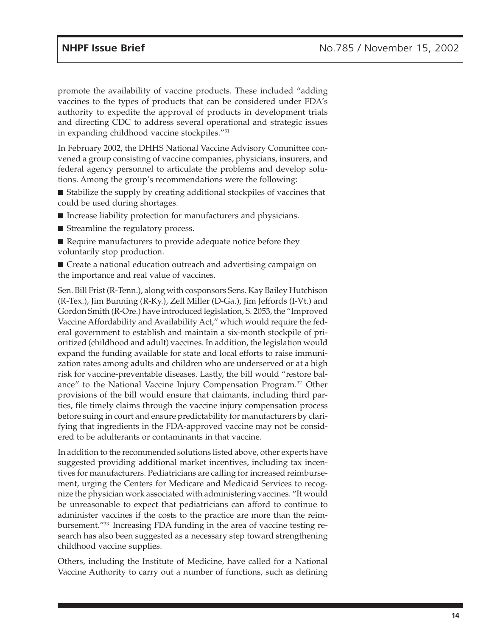promote the availability of vaccine products. These included "adding vaccines to the types of products that can be considered under FDA's authority to expedite the approval of products in development trials and directing CDC to address several operational and strategic issues in expanding childhood vaccine stockpiles."31

In February 2002, the DHHS National Vaccine Advisory Committee convened a group consisting of vaccine companies, physicians, insurers, and federal agency personnel to articulate the problems and develop solutions. Among the group's recommendations were the following:

■ Stabilize the supply by creating additional stockpiles of vaccines that could be used during shortages.

- Increase liability protection for manufacturers and physicians.
- Streamline the regulatory process.
- Require manufacturers to provide adequate notice before they voluntarily stop production.

■ Create a national education outreach and advertising campaign on the importance and real value of vaccines.

Sen. Bill Frist (R-Tenn.), along with cosponsors Sens. Kay Bailey Hutchison (R-Tex.), Jim Bunning (R-Ky.), Zell Miller (D-Ga.), Jim Jeffords (I-Vt.) and Gordon Smith (R-Ore.) have introduced legislation, S. 2053, the "Improved Vaccine Affordability and Availability Act," which would require the federal government to establish and maintain a six-month stockpile of prioritized (childhood and adult) vaccines. In addition, the legislation would expand the funding available for state and local efforts to raise immunization rates among adults and children who are underserved or at a high risk for vaccine-preventable diseases. Lastly, the bill would "restore balance" to the National Vaccine Injury Compensation Program.32 Other provisions of the bill would ensure that claimants, including third parties, file timely claims through the vaccine injury compensation process before suing in court and ensure predictability for manufacturers by clarifying that ingredients in the FDA-approved vaccine may not be considered to be adulterants or contaminants in that vaccine.

In addition to the recommended solutions listed above, other experts have suggested providing additional market incentives, including tax incentives for manufacturers. Pediatricians are calling for increased reimbursement, urging the Centers for Medicare and Medicaid Services to recognize the physician work associated with administering vaccines. "It would be unreasonable to expect that pediatricians can afford to continue to administer vaccines if the costs to the practice are more than the reimbursement."33 Increasing FDA funding in the area of vaccine testing research has also been suggested as a necessary step toward strengthening childhood vaccine supplies.

Others, including the Institute of Medicine, have called for a National Vaccine Authority to carry out a number of functions, such as defining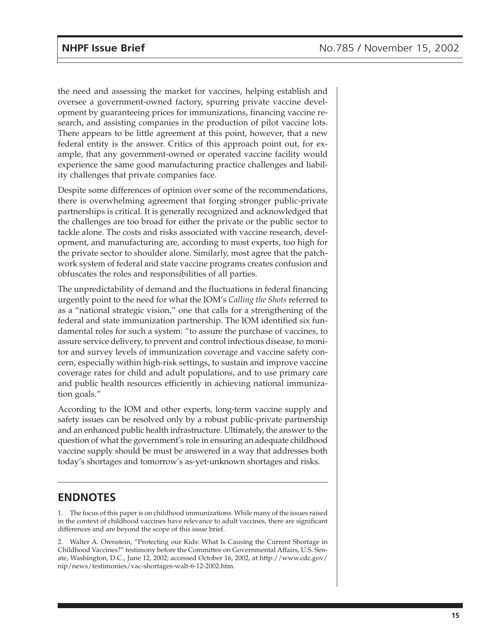the need and assessing the market for vaccines, helping establish and oversee a government-owned factory, spurring private vaccine development by guaranteeing prices for immunizations, financing vaccine research, and assisting companies in the production of pilot vaccine lots. There appears to be little agreement at this point, however, that a new federal entity is the answer. Critics of this approach point out, for example, that any government-owned or operated vaccine facility would experience the same good manufacturing practice challenges and liability challenges that private companies face.

Despite some differences of opinion over some of the recommendations, there is overwhelming agreement that forging stronger public-private partnerships is critical. It is generally recognized and acknowledged that the challenges are too broad for either the private or the public sector to tackle alone. The costs and risks associated with vaccine research, development, and manufacturing are, according to most experts, too high for the private sector to shoulder alone. Similarly, most agree that the patchwork system of federal and state vaccine programs creates confusion and obfuscates the roles and responsibilities of all parties.

The unpredictability of demand and the fluctuations in federal financing urgently point to the need for what the IOM's *Calling the Shots* referred to as a "national strategic vision," one that calls for a strengthening of the federal and state immunization partnership. The IOM identified six fundamental roles for such a system: "to assure the purchase of vaccines, to assure service delivery, to prevent and control infectious disease, to monitor and survey levels of immunization coverage and vaccine safety concern, especially within high-risk settings, to sustain and improve vaccine coverage rates for child and adult populations, and to use primary care and public health resources efficiently in achieving national immunization goals."

According to the IOM and other experts, long-term vaccine supply and safety issues can be resolved only by a robust public-private partnership and an enhanced public health infrastructure. Ultimately, the answer to the question of what the government's role in ensuring an adequate childhood vaccine supply should be must be answered in a way that addresses both today's shortages and tomorrow's as-yet-unknown shortages and risks.

#### **ENDNOTES**

1. The focus of this paper is on childhood immunizations. While many of the issues raised in the context of childhood vaccines have relevance to adult vaccines, there are significant differences and are beyond the scope of this issue brief.

2. Walter A. Orenstein, "Protecting our Kids: What Is Causing the Current Shortage in Childhood Vaccines?" testimony before the Committee on Governmental Affairs, U.S. Senate, Washington, D.C., June 12, 2002; accessed October 16, 2002, at http://www.cdc.gov/ nip/news/testimonies/vac-shortages-walt-6-12-2002.htm.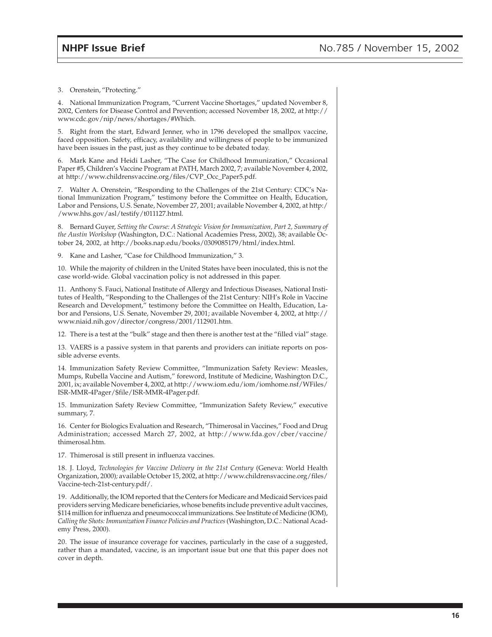3. Orenstein, "Protecting."

4. National Immunization Program, "Current Vaccine Shortages," updated November 8, 2002, Centers for Disease Control and Prevention; accessed November 18, 2002, at http:// www.cdc.gov/nip/news/shortages/#Which.

5. Right from the start, Edward Jenner, who in 1796 developed the smallpox vaccine, faced opposition. Safety, efficacy, availability and willingness of people to be immunized have been issues in the past, just as they continue to be debated today.

6. Mark Kane and Heidi Lasher, "The Case for Childhood Immunization," Occasional Paper #5, Children's Vaccine Program at PATH, March 2002, 7; available November 4, 2002, at http://www.childrensvaccine.org/files/CVP\_Occ\_Paper5.pdf.

7. Walter A. Orenstein, "Responding to the Challenges of the 21st Century: CDC's National Immunization Program," testimony before the Committee on Health, Education, Labor and Pensions, U.S. Senate, November 27, 2001; available November 4, 2002, at http:/ /www.hhs.gov/asl/testify/t011127.html.

8. Bernard Guyer, *Setting the Course: A Strategic Vision for Immunization, Part 2, Summary of the Austin Workshop* (Washington, D.C.: National Academies Press, 2002), 38; available October 24, 2002, at http://books.nap.edu/books/0309085179/html/index.html.

9. Kane and Lasher, "Case for Childhood Immunization," 3.

10. While the majority of children in the United States have been inoculated, this is not the case world-wide. Global vaccination policy is not addressed in this paper.

11. Anthony S. Fauci, National Institute of Allergy and Infectious Diseases, National Institutes of Health, "Responding to the Challenges of the 21st Century: NIH's Role in Vaccine Research and Development," testimony before the Committee on Health, Education, Labor and Pensions, U.S. Senate, November 29, 2001; available November 4, 2002, at http:// www.niaid.nih.gov/director/congress/2001/112901.htm.

12. There is a test at the "bulk" stage and then there is another test at the "filled vial" stage.

13. VAERS is a passive system in that parents and providers can initiate reports on possible adverse events.

14. Immunization Safety Review Committee, "Immunization Safety Review: Measles, Mumps, Rubella Vaccine and Autism," foreword, Institute of Medicine, Washington D.C., 2001, ix; available November 4, 2002, at http://www.iom.edu/iom/iomhome.nsf/WFiles/ ISR-MMR-4Pager/\$file/ISR-MMR-4Pager.pdf.

15. Immunization Safety Review Committee, "Immunization Safety Review," executive summary, 7.

16. Center for Biologics Evaluation and Research, "Thimerosal in Vaccines," Food and Drug Administration; accessed March 27, 2002, at http://www.fda.gov/cber/vaccine/ thimerosal.htm.

17. Thimerosal is still present in influenza vaccines.

18. J. Lloyd, *Technologies for Vaccine Delivery in the 21st Century* (Geneva: World Health Organization, 2000)*;* available October 15, 2002, at http://www.childrensvaccine.org/files/ Vaccine-tech-21st-century.pdf/.

19. Additionally, the IOM reported that the Centers for Medicare and Medicaid Services paid providers serving Medicare beneficiaries, whose benefits include preventive adult vaccines, \$114 million for influenza and pneumococcal immunizations. See Institute of Medicine (IOM), *Calling the Shots: Immunization Finance Policies and Practices* (Washington, D.C.: National Academy Press, 2000).

20. The issue of insurance coverage for vaccines, particularly in the case of a suggested, rather than a mandated, vaccine, is an important issue but one that this paper does not cover in depth.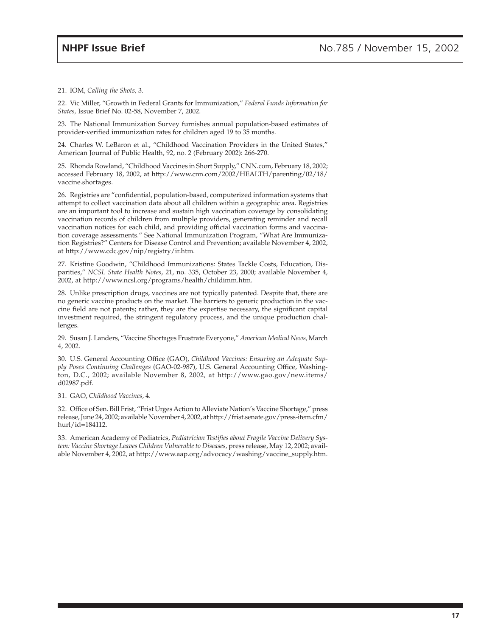21. IOM, *Calling the Shots,* 3.

22. Vic Miller, "Growth in Federal Grants for Immunization," *Federal Funds Information for States,* Issue Brief No. 02-58, November 7, 2002.

23. The National Immunization Survey furnishes annual population-based estimates of provider-verified immunization rates for children aged 19 to 35 months.

24. Charles W. LeBaron et al., "Childhood Vaccination Providers in the United States," American Journal of Public Health, 92, no. 2 (February 2002): 266-270.

25. Rhonda Rowland, "Childhood Vaccines in Short Supply," CNN.com, February 18, 2002; accessed February 18, 2002, at http://www.cnn.com/2002/HEALTH/parenting/02/18/ vaccine.shortages.

26. Registries are "confidential, population-based, computerized information systems that attempt to collect vaccination data about all children within a geographic area. Registries are an important tool to increase and sustain high vaccination coverage by consolidating vaccination records of children from multiple providers, generating reminder and recall vaccination notices for each child, and providing official vaccination forms and vaccination coverage assessments." See National Immunization Program, "What Are Immunization Registries?" Centers for Disease Control and Prevention; available November 4, 2002, at http://www.cdc.gov/nip/registry/ir.htm.

27. Kristine Goodwin, "Childhood Immunizations: States Tackle Costs, Education, Disparities," *NCSL State Health Notes*, 21, no. 335, October 23, 2000; available November 4, 2002, at http://www.ncsl.org/programs/health/childimm.htm.

28. Unlike prescription drugs, vaccines are not typically patented. Despite that, there are no generic vaccine products on the market. The barriers to generic production in the vaccine field are not patents; rather, they are the expertise necessary, the significant capital investment required, the stringent regulatory process, and the unique production challenges.

29. Susan J. Landers, "Vaccine Shortages Frustrate Everyone," *American Medical News,* March 4, 2002.

30. U.S. General Accounting Office (GAO), *Childhood Vaccines: Ensuring an Adequate Supply Poses Continuing Challenges* (GAO-02-987), U.S. General Accounting Office, Washington, D.C., 2002; available November 8, 2002, at http://www.gao.gov/new.items/ d02987.pdf.

31. GAO, *Childhood Vaccines,* 4.

32. Office of Sen. Bill Frist, "Frist Urges Action to Alleviate Nation's Vaccine Shortage," press release, June 24, 2002; available November 4, 2002, at http://frist.senate.gov/press-item.cfm/ hurl/id=184112.

33. American Academy of Pediatrics, *Pediatrician Testifies about Fragile Vaccine Delivery System: Vaccine Shortage Leaves Children Vulnerable to Diseases,* press release, May 12, 2002; available November 4, 2002, at http://www.aap.org/advocacy/washing/vaccine\_supply.htm.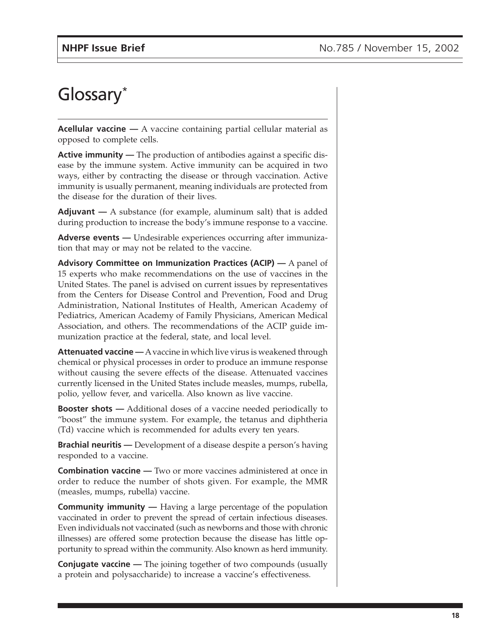### Glossary\*

**Acellular vaccine —** A vaccine containing partial cellular material as opposed to complete cells.

**Active immunity —** The production of antibodies against a specific disease by the immune system. Active immunity can be acquired in two ways, either by contracting the disease or through vaccination. Active immunity is usually permanent, meaning individuals are protected from the disease for the duration of their lives.

**Adjuvant —** A substance (for example, aluminum salt) that is added during production to increase the body's immune response to a vaccine.

**Adverse events —** Undesirable experiences occurring after immunization that may or may not be related to the vaccine.

**Advisory Committee on Immunization Practices (ACIP) —** A panel of 15 experts who make recommendations on the use of vaccines in the United States. The panel is advised on current issues by representatives from the Centers for Disease Control and Prevention, Food and Drug Administration, National Institutes of Health, American Academy of Pediatrics, American Academy of Family Physicians, American Medical Association, and others. The recommendations of the ACIP guide immunization practice at the federal, state, and local level.

**Attenuated vaccine** — A vaccine in which live virus is weakened through chemical or physical processes in order to produce an immune response without causing the severe effects of the disease. Attenuated vaccines currently licensed in the United States include measles, mumps, rubella, polio, yellow fever, and varicella. Also known as live vaccine.

**Booster shots** — Additional doses of a vaccine needed periodically to "boost" the immune system. For example, the tetanus and diphtheria (Td) vaccine which is recommended for adults every ten years.

**Brachial neuritis —** Development of a disease despite a person's having responded to a vaccine.

**Combination vaccine —** Two or more vaccines administered at once in order to reduce the number of shots given. For example, the MMR (measles, mumps, rubella) vaccine.

**Community immunity —** Having a large percentage of the population vaccinated in order to prevent the spread of certain infectious diseases. Even individuals not vaccinated (such as newborns and those with chronic illnesses) are offered some protection because the disease has little opportunity to spread within the community. Also known as herd immunity.

**Conjugate vaccine** — The joining together of two compounds (usually a protein and polysaccharide) to increase a vaccine's effectiveness.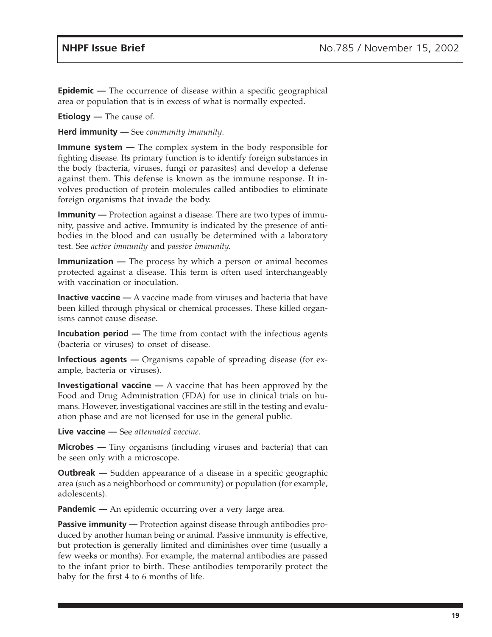**Epidemic** — The occurrence of disease within a specific geographical area or population that is in excess of what is normally expected.

**Etiology** — The cause of.

**Herd immunity —** See *community immunity*.

**Immune system —** The complex system in the body responsible for fighting disease. Its primary function is to identify foreign substances in the body (bacteria, viruses, fungi or parasites) and develop a defense against them. This defense is known as the immune response. It involves production of protein molecules called antibodies to eliminate foreign organisms that invade the body.

**Immunity** — Protection against a disease. There are two types of immunity, passive and active. Immunity is indicated by the presence of antibodies in the blood and can usually be determined with a laboratory test. See *active immunity* and *passive immunity.*

**Immunization —** The process by which a person or animal becomes protected against a disease. This term is often used interchangeably with vaccination or inoculation.

**Inactive vaccine** — A vaccine made from viruses and bacteria that have been killed through physical or chemical processes. These killed organisms cannot cause disease.

**Incubation period —** The time from contact with the infectious agents (bacteria or viruses) to onset of disease.

**Infectious agents —** Organisms capable of spreading disease (for example, bacteria or viruses).

**Investigational vaccine —** A vaccine that has been approved by the Food and Drug Administration (FDA) for use in clinical trials on humans. However, investigational vaccines are still in the testing and evaluation phase and are not licensed for use in the general public.

**Live vaccine —** See *attenuated vaccine.*

**Microbes —** Tiny organisms (including viruses and bacteria) that can be seen only with a microscope.

**Outbreak** — Sudden appearance of a disease in a specific geographic area (such as a neighborhood or community) or population (for example, adolescents).

**Pandemic —** An epidemic occurring over a very large area.

**Passive immunity** — Protection against disease through antibodies produced by another human being or animal. Passive immunity is effective, but protection is generally limited and diminishes over time (usually a few weeks or months). For example, the maternal antibodies are passed to the infant prior to birth. These antibodies temporarily protect the baby for the first 4 to 6 months of life.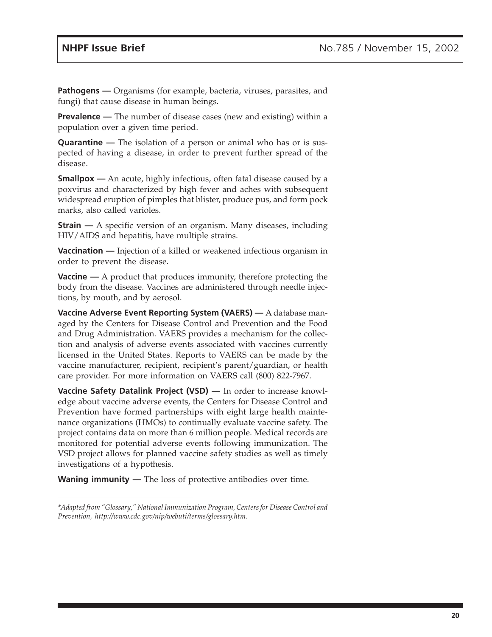**Pathogens** — Organisms (for example, bacteria, viruses, parasites, and fungi) that cause disease in human beings.

**Prevalence** — The number of disease cases (new and existing) within a population over a given time period.

**Quarantine —** The isolation of a person or animal who has or is suspected of having a disease, in order to prevent further spread of the disease.

**Smallpox** — An acute, highly infectious, often fatal disease caused by a poxvirus and characterized by high fever and aches with subsequent widespread eruption of pimples that blister, produce pus, and form pock marks, also called varioles.

**Strain** — A specific version of an organism. Many diseases, including HIV/AIDS and hepatitis, have multiple strains.

**Vaccination —** Injection of a killed or weakened infectious organism in order to prevent the disease.

**Vaccine —** A product that produces immunity, therefore protecting the body from the disease. Vaccines are administered through needle injections, by mouth, and by aerosol.

**Vaccine Adverse Event Reporting System (VAERS) —** A database managed by the Centers for Disease Control and Prevention and the Food and Drug Administration. VAERS provides a mechanism for the collection and analysis of adverse events associated with vaccines currently licensed in the United States. Reports to VAERS can be made by the vaccine manufacturer, recipient, recipient's parent/guardian, or health care provider. For more information on VAERS call (800) 822-7967.

**Vaccine Safety Datalink Project (VSD) —** In order to increase knowledge about vaccine adverse events, the Centers for Disease Control and Prevention have formed partnerships with eight large health maintenance organizations (HMOs) to continually evaluate vaccine safety. The project contains data on more than 6 million people. Medical records are monitored for potential adverse events following immunization. The VSD project allows for planned vaccine safety studies as well as timely investigations of a hypothesis.

**Waning immunity —** The loss of protective antibodies over time.

*<sup>\*</sup>Adapted from "Glossary," National Immunization Program, Centers for Disease Control and Prevention, http://www.cdc.gov/nip/webuti/terms/glossary.htm.*